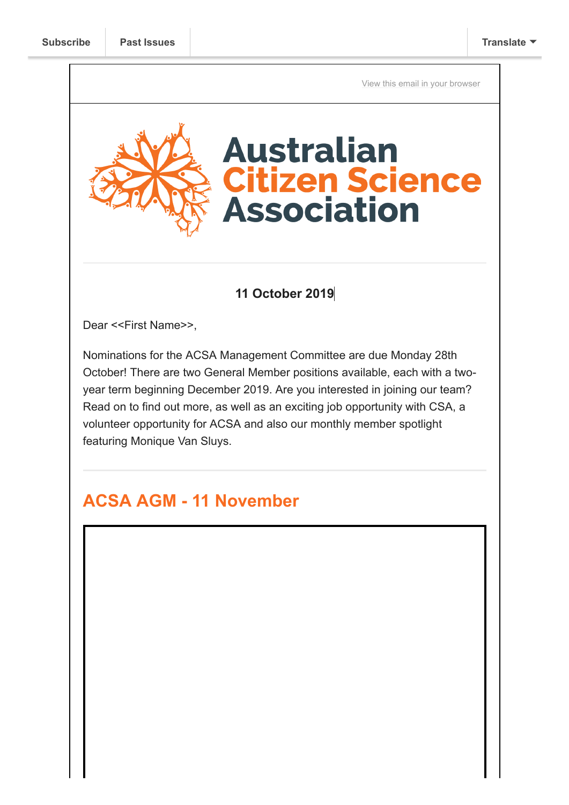[View this email in your browser](https://mailchi.mp/b8a32a317b1b/nominate-for-the-acsa-mc-by-oct-28-plus-geo-week-a-csa-job-opportunity-and-more?e=[UNIQID])



#### **11 October 2019**

Dear <<First Name>>,

Nominations for the ACSA Management Committee are due Monday 28th October! There are two General Member positions available, each with a twoyear term beginning December 2019. Are you interested in joining our team? Read on to find out more, as well as an exciting job opportunity with CSA, a volunteer opportunity for ACSA and also our monthly member spotlight featuring Monique Van Sluys.

# **ACSA AGM - 11 November**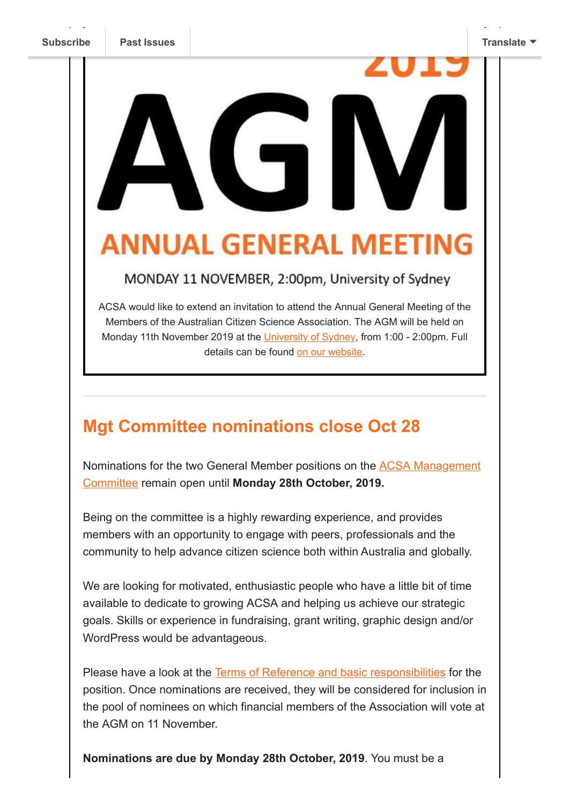# $\Box$ **ANNUAL GENERAL MEET**

#### MONDAY 11 NOVEMBER, 2:00pm, University of Sydney

ACSA would like to extend an invitation to attend the Annual General Meeting of the Members of the Australian Citizen Science Association. The AGM will be held on Monday 11th November 2019 at the [University of Sydney](https://gallery.mailchimp.com/bf6c4fb11671f5919db89feda/files/68b5f32d-d306-4502-9528-f73a99a7eeaa/Meeting_Room_450_directions.docx), from 1:00 - 2:00pm. Full details can be found [on our website](https://citizenscience.org.au/2019/10/09/notice-of-2019-acsa-agm/).

# **Mgt Committee nominations close Oct 28**

[Nominations for the two General Member positions on the](https://citizenscience.org.au/who-we-are/management-committee/) ACSA Management Committee remain open until **Monday 28th October, 2019.** 

Being on the committee is a highly rewarding experience, and provides members with an opportunity to engage with peers, professionals and the community to help advance citizen science both within Australia and globally.

We are looking for motivated, enthusiastic people who have a little bit of time available to dedicate to growing ACSA and helping us achieve our strategic goals. Skills or experience in fundraising, grant writing, graphic design and/or WordPress would be advantageous.

Please have a look at the [Terms of Reference and basic responsibilities](https://citizenscience.org.au/wp-content/uploads/2019/07/ACSA-Management-Committee-Terms-of-Reference-revised-140519.pdf) for the position. Once nominations are received, they will be considered for inclusion in the pool of nominees on which financial members of the Association will vote at the AGM on 11 November.

**Nominations are due by Monday 28th October, 2019**. You must be a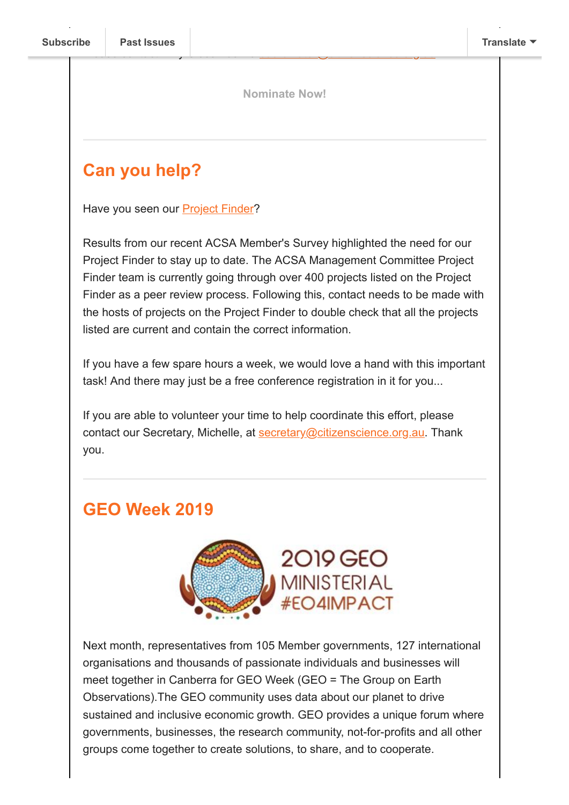**[Nominate Now!](https://www.surveymonkey.com/r/M758DYP)**

# **Can you help?**

Have you seen our [Project Finder](https://biocollect.ala.org.au/acsa#isCitizenScience%3Dtrue%26isWorldWide%3Dfalse%26max%3D20%26sort%3DdateCreatedSor)?

Results from our recent ACSA Member's Survey highlighted the need for our Project Finder to stay up to date. The ACSA Management Committee Project Finder team is currently going through over 400 projects listed on the Project Finder as a peer review process. Following this, contact needs to be made with the hosts of projects on the Project Finder to double check that all the projects listed are current and contain the correct information.

If you have a few spare hours a week, we would love a hand with this important task! And there may just be a free conference registration in it for you...

If you are able to volunteer your time to help coordinate this effort, please contact our Secretary, Michelle, at [secretary@citizenscience.org.au.](mailto:secretary@citizenscience.org.au) Thank you.

# **GEO Week 2019**



Next month, representatives from 105 Member governments, 127 international organisations and thousands of passionate individuals and businesses will meet together in Canberra for GEO Week (GEO = The Group on Earth Observations).The GEO community uses data about our planet to drive sustained and inclusive economic growth. GEO provides a unique forum where governments, businesses, the research community, not-for-profits and all other groups come together to create solutions, to share, and to cooperate.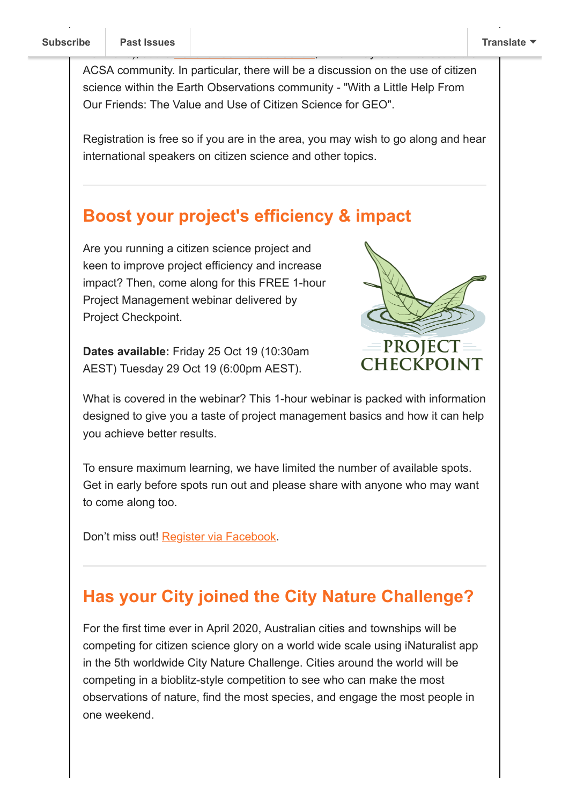ACSA community. In particular, there will be a discussion on the use of citizen science within the Earth Observations community - "With a Little Help From Our Friends: The Value and Use of Citizen Science for GEO".

Registration is free so if you are in the area, you may wish to go along and hear international speakers on citizen science and other topics.

#### **Boost your project's efficiency & impact**

Are you running a citizen science project and keen to improve project efficiency and increase impact? Then, come along for this FREE 1-hour Project Management webinar delivered by Project Checkpoint.

**Dates available:** Friday 25 Oct 19 (10:30am AEST) Tuesday 29 Oct 19 (6:00pm AEST).



What is covered in the webinar? This 1-hour webinar is packed with information designed to give you a taste of project management basics and how it can help you achieve better results.

To ensure maximum learning, we have limited the number of available spots. Get in early before spots run out and please share with anyone who may want to come along too.

Don't miss out! [Register via Facebook.](https://www.facebook.com/events/450190312286907/)

### **Has your City joined the City Nature Challenge?**

For the first time ever in April 2020, Australian cities and townships will be competing for citizen science glory on a world wide scale using iNaturalist app in the 5th worldwide City Nature Challenge. Cities around the world will be competing in a bioblitz-style competition to see who can make the most observations of nature, find the most species, and engage the most people in one weekend.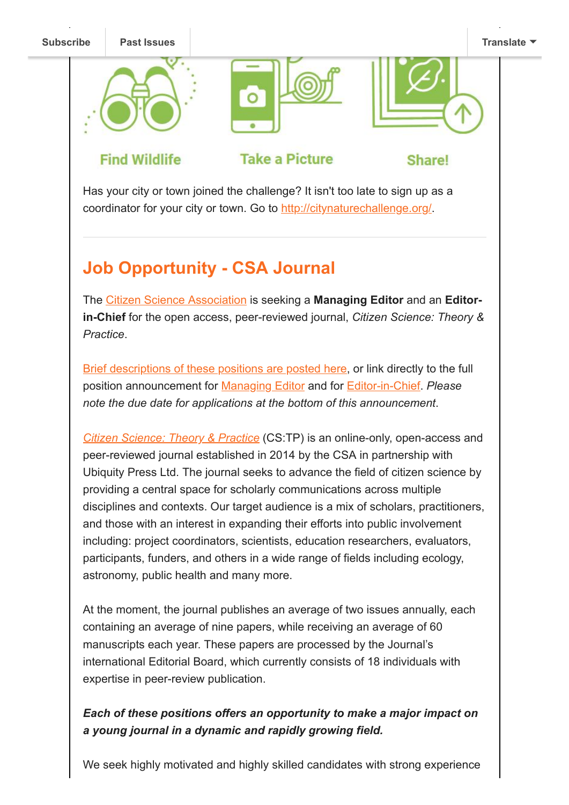

Has your city or town joined the challenge? It isn't too late to sign up as a coordinator for your city or town. Go to <http://citynaturechallenge.org/>

# **Job Opportunity - CSA Journal**

The [Citizen Science Association](https://www.citizenscience.org/) is seeking a **Managing Editor** and an **Editorin-Chief** for the open access, peer-reviewed journal, *Citizen Science: Theory & Practice*.

[Brief descriptions of these positions are posted here](https://www.citizenscience.org/job-board/), or link directly to the full position announcement for [Managing Editor](https://drive.google.com/file/d/11pY1y6luePRuHz8TJy5RpFUTORoOl5y2/view) and for [Editor-in-Chief](https://drive.google.com/open?id=1wYxddROLjv-4cK6GwgjZ2uq0E4IFRGLL). *Please note the due date for applications at the bottom of this announcement*.

*[Citizen Science: Theory & Practice](https://theoryandpractice.citizenscienceassociation.org/)* (CS:TP) is an online-only, open-access and peer-reviewed journal established in 2014 by the CSA in partnership with Ubiquity Press Ltd. The journal seeks to advance the field of citizen science by providing a central space for scholarly communications across multiple disciplines and contexts. Our target audience is a mix of scholars, practitioners, and those with an interest in expanding their efforts into public involvement including: project coordinators, scientists, education researchers, evaluators, participants, funders, and others in a wide range of fields including ecology, astronomy, public health and many more.

At the moment, the journal publishes an average of two issues annually, each containing an average of nine papers, while receiving an average of 60 manuscripts each year. These papers are processed by the Journal's international Editorial Board, which currently consists of 18 individuals with expertise in peer-review publication.

#### *Each of these positions offers an opportunity to make a major impact on a young journal in a dynamic and rapidly growing field.*

We seek highly motivated and highly skilled candidates with strong experience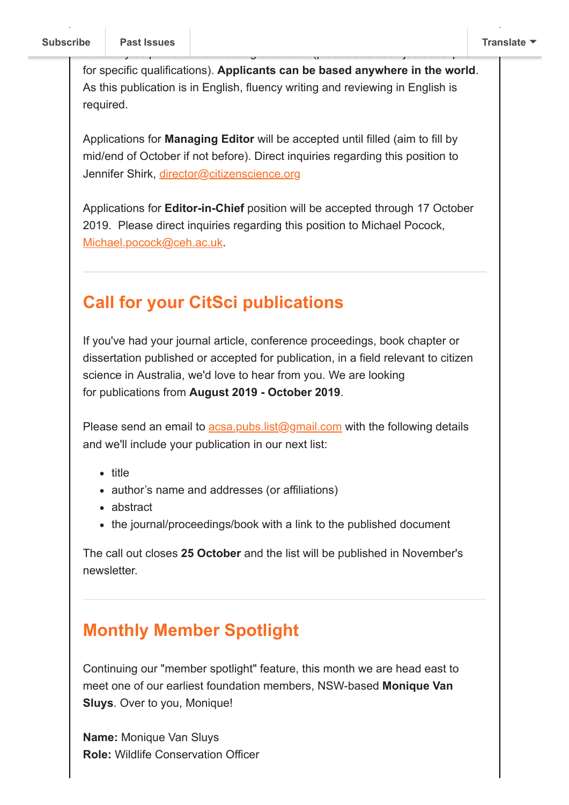for specific qualifications). **Applicants can be based anywhere in the world**. As this publication is in English, fluency writing and reviewing in English is required.

efficiently as part of a distribution global team (please see each job description  $\mathcal{C}$ 

Applications for **Managing Editor** will be accepted until filled (aim to fill by mid/end of October if not before). Direct inquiries regarding this position to Jennifer Shirk, [director@citizenscience.org](mailto:director@citizenscience.org)

Applications for **Editor-in-Chief** position will be accepted through 17 October 2019. Please direct inquiries regarding this position to Michael Pocock, [Michael.pocock@ceh.ac.uk](mailto:Michael.pocock@ceh.ac.uk).

# **Call for your CitSci publications**

If you've had your journal article, conference proceedings, book chapter or dissertation published or accepted for publication, in a field relevant to citizen science in Australia, we'd love to hear from you. We are looking for publications from **August 2019 - October 2019**.

Please send an email to  $\frac{acsa.pubs.list@gmail.com}{a}$  with the following details and we'll include your publication in our next list:

- title
- author's name and addresses (or affiliations)
- abstract
- the journal/proceedings/book with a link to the published document

The call out closes **25 October** and the list will be published in November's newsletter.

# **Monthly Member Spotlight**

Continuing our "member spotlight" feature, this month we are head east to meet one of our earliest foundation members, NSW-based **Monique Van Sluys**. Over to you, Monique!

**Name:** Monique Van Sluys **Role:** Wildlife Conservation Officer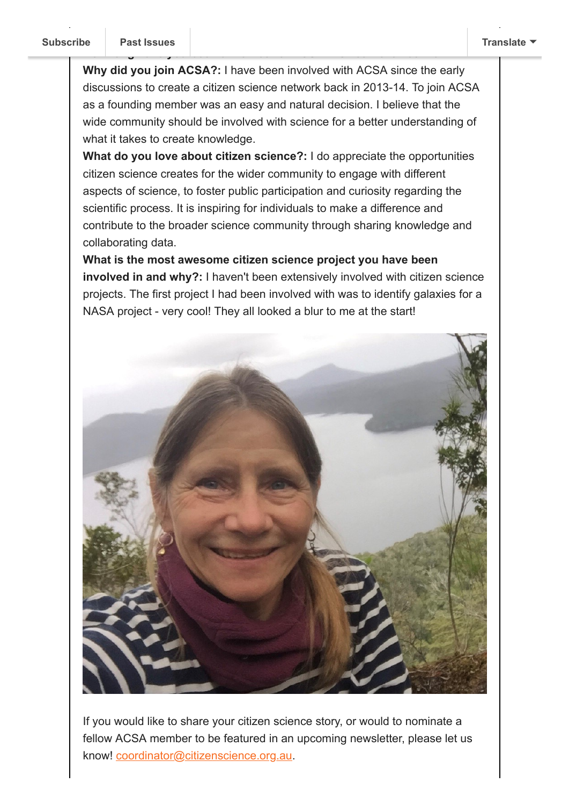**Why did you join ACSA?:** I have been involved with ACSA since the early discussions to create a citizen science network back in 2013-14. To join ACSA as a founding member was an easy and natural decision. I believe that the wide community should be involved with science for a better understanding of what it takes to create knowledge.

**Ho[w long have you](https://us9.campaign-archive.com/home/?u=bf6c4fb11671f5919db89feda&id=40b221ed15) been a member of ACSA?:** Since November 2017

**What do you love about citizen science?:** I do appreciate the opportunities citizen science creates for the wider community to engage with different aspects of science, to foster public participation and curiosity regarding the scientific process. It is inspiring for individuals to make a difference and contribute to the broader science community through sharing knowledge and collaborating data.

**What is the most awesome citizen science project you have been involved in and why?:** I haven't been extensively involved with citizen science projects. The first project I had been involved with was to identify galaxies for a NASA project - very cool! They all looked a blur to me at the start!



If you would like to share your citizen science story, or would to nominate a fellow ACSA member to be featured in an upcoming newsletter, please let us know! [coordinator@citizenscience.org.au.](mailto:coordinator@citizenscience.org.au)